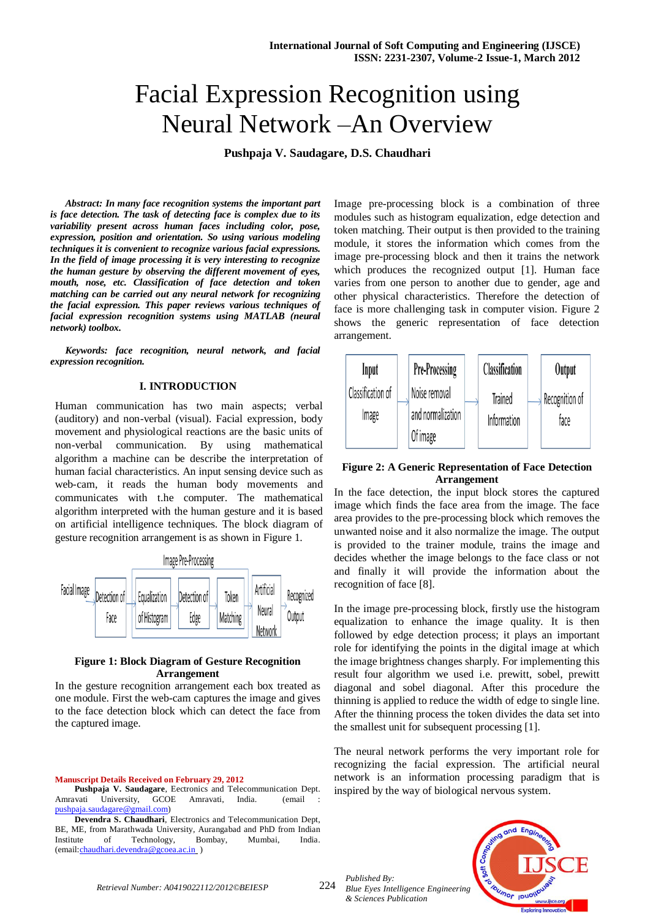# Facial Expression Recognition using Neural Network –An Overview

**Pushpaja V. Saudagare, D.S. Chaudhari**

*Abstract: In many face recognition systems the important part is face detection. The task of detecting face is complex due to its variability present across human faces including color, pose, expression, position and orientation. So using various modeling techniques it is convenient to recognize various facial expressions. In the field of image processing it is very interesting to recognize the human gesture by observing the different movement of eyes, mouth, nose, etc. Classification of face detection and token matching can be carried out any neural network for recognizing the facial expression. This paper reviews various techniques of facial expression recognition systems using MATLAB (neural network) toolbox.*

*Keywords: face recognition, neural network, and facial expression recognition.* 

# **I. INTRODUCTION**

Human communication has two main aspects; verbal (auditory) and non-verbal (visual). Facial expression, body movement and physiological reactions are the basic units of non-verbal communication. By using mathematical algorithm a machine can be describe the interpretation of human facial characteristics. An input sensing device such as web-cam, it reads the human body movements and communicates with t.he computer. The mathematical algorithm interpreted with the human gesture and it is based on artificial intelligence techniques. The block diagram of gesture recognition arrangement is as shown in Figure 1.



# **Figure 1: Block Diagram of Gesture Recognition Arrangement**

In the gesture recognition arrangement each box treated as one module. First the web-cam captures the image and gives to the face detection block which can detect the face from the captured image.

#### **Manuscript Details Received on February 29, 2012**

**Pushpaja V. Saudagare**, Eectronics and Telecommunication Dept. Amravati University, GCOE Amravati, India. (email : [pushpaja.saudagare@gmail.com\)](mailto:pushpaja.saudagare@gmail.com)

**Devendra S. Chaudhari**, Electronics and Telecommunication Dept, BE, ME, from Marathwada University, Aurangabad and PhD from Indian Technology, (email[:chaudhari.devendra@gcoea.ac.in](mailto:chaudhari.devendra@gcoea.ac.in) )

Image pre-processing block is a combination of three modules such as histogram equalization, edge detection and token matching. Their output is then provided to the training module, it stores the information which comes from the image pre-processing block and then it trains the network which produces the recognized output [1]. Human face varies from one person to another due to gender, age and other physical characteristics. Therefore the detection of face is more challenging task in computer vision. Figure 2 shows the generic representation of face detection arrangement.



# **Figure 2: A Generic Representation of Face Detection Arrangement**

In the face detection, the input block stores the captured image which finds the face area from the image. The face area provides to the pre-processing block which removes the unwanted noise and it also normalize the image. The output is provided to the trainer module, trains the image and decides whether the image belongs to the face class or not and finally it will provide the information about the recognition of face [8].

In the image pre-processing block, firstly use the histogram equalization to enhance the image quality. It is then followed by edge detection process; it plays an important role for identifying the points in the digital image at which the image brightness changes sharply. For implementing this result four algorithm we used i.e. prewitt, sobel, prewitt diagonal and sobel diagonal. After this procedure the thinning is applied to reduce the width of edge to single line. After the thinning process the token divides the data set into the smallest unit for subsequent processing [1].

The neural network performs the very important role for recognizing the facial expression. The artificial neural network is an information processing paradigm that is inspired by the way of biological nervous system.



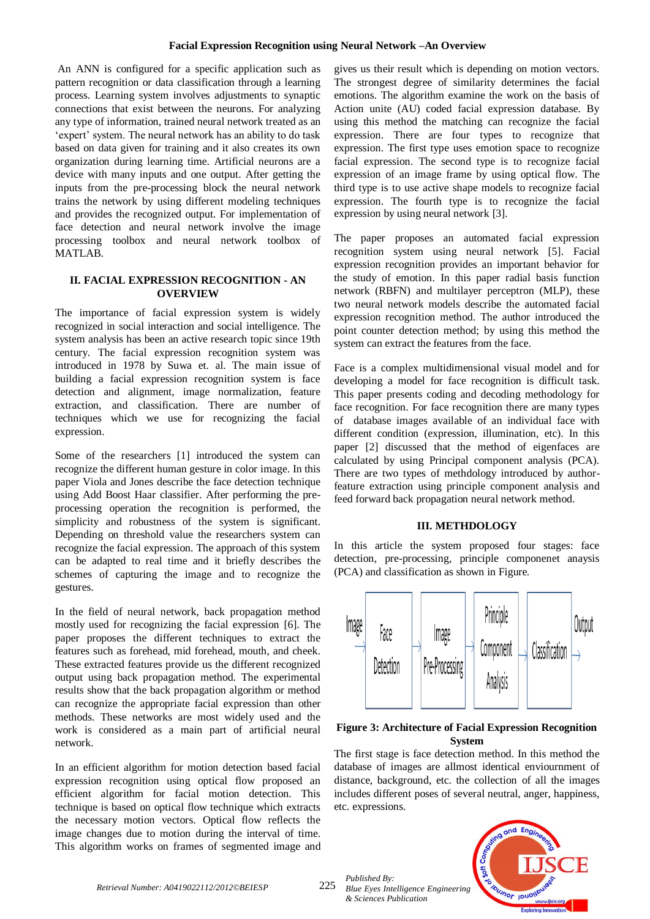An ANN is configured for a specific application such as pattern recognition or data classification through a learning process. Learning system involves adjustments to synaptic connections that exist between the neurons. For analyzing any type of information, trained neural network treated as an "expert" system. The neural network has an ability to do task based on data given for training and it also creates its own organization during learning time. Artificial neurons are a device with many inputs and one output. After getting the inputs from the pre-processing block the neural network trains the network by using different modeling techniques and provides the recognized output. For implementation of face detection and neural network involve the image processing toolbox and neural network toolbox of MATLAB.

# **II. FACIAL EXPRESSION RECOGNITION - AN OVERVIEW**

The importance of facial expression system is widely recognized in social interaction and social intelligence. The system analysis has been an active research topic since 19th century. The facial expression recognition system was introduced in 1978 by Suwa et. al. The main issue of building a facial expression recognition system is face detection and alignment, image normalization, feature extraction, and classification. There are number of techniques which we use for recognizing the facial expression.

Some of the researchers [1] introduced the system can recognize the different human gesture in color image. In this paper Viola and Jones describe the face detection technique using Add Boost Haar classifier. After performing the preprocessing operation the recognition is performed, the simplicity and robustness of the system is significant. Depending on threshold value the researchers system can recognize the facial expression. The approach of this system can be adapted to real time and it briefly describes the schemes of capturing the image and to recognize the gestures.

In the field of neural network, back propagation method mostly used for recognizing the facial expression [6]. The paper proposes the different techniques to extract the features such as forehead, mid forehead, mouth, and cheek. These extracted features provide us the different recognized output using back propagation method. The experimental results show that the back propagation algorithm or method can recognize the appropriate facial expression than other methods. These networks are most widely used and the work is considered as a main part of artificial neural network.

In an efficient algorithm for motion detection based facial expression recognition using optical flow proposed an efficient algorithm for facial motion detection. This technique is based on optical flow technique which extracts the necessary motion vectors. Optical flow reflects the image changes due to motion during the interval of time. This algorithm works on frames of segmented image and gives us their result which is depending on motion vectors. The strongest degree of similarity determines the facial emotions. The algorithm examine the work on the basis of Action unite (AU) coded facial expression database. By using this method the matching can recognize the facial expression. There are four types to recognize that expression. The first type uses emotion space to recognize facial expression. The second type is to recognize facial expression of an image frame by using optical flow. The third type is to use active shape models to recognize facial expression. The fourth type is to recognize the facial expression by using neural network [3].

The paper proposes an automated facial expression recognition system using neural network [5]. Facial expression recognition provides an important behavior for the study of emotion. In this paper radial basis function network (RBFN) and multilayer perceptron (MLP), these two neural network models describe the automated facial expression recognition method. The author introduced the point counter detection method; by using this method the system can extract the features from the face.

Face is a complex multidimensional visual model and for developing a model for face recognition is difficult task. This paper presents coding and decoding methodology for face recognition. For face recognition there are many types of database images available of an individual face with different condition (expression, illumination, etc). In this paper [2] discussed that the method of eigenfaces are calculated by using Principal component analysis (PCA). There are two types of methdology introduced by authorfeature extraction using principle component analysis and feed forward back propagation neural network method.

## **III. METHDOLOGY**

In this article the system proposed four stages: face detection, pre-processing, principle componenet anaysis (PCA) and classification as shown in Figure.



# **Figure 3: Architecture of Facial Expression Recognition System**

The first stage is face detection method. In this method the database of images are allmost identical enviournment of distance, background, etc. the collection of all the images includes different poses of several neutral, anger, happiness, etc. expressions.



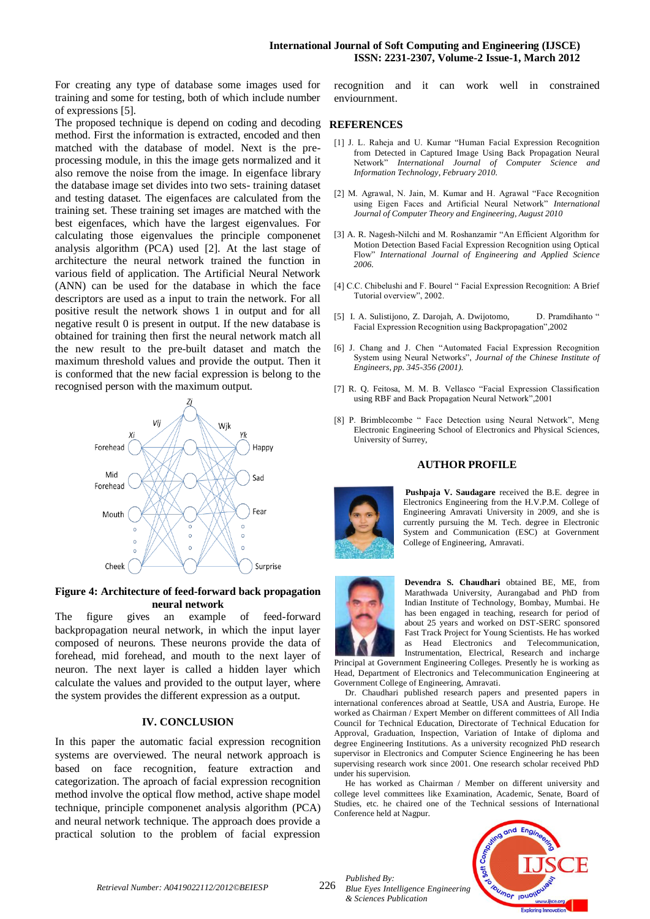For creating any type of database some images used for training and some for testing, both of which include number of expressions [5].

The proposed technique is depend on coding and decoding method. First the information is extracted, encoded and then matched with the database of model. Next is the preprocessing module, in this the image gets normalized and it also remove the noise from the image. In eigenface library the database image set divides into two sets- training dataset and testing dataset. The eigenfaces are calculated from the training set. These training set images are matched with the best eigenfaces, which have the largest eigenvalues. For calculating those eigenvalues the principle componenet analysis algorithm (PCA) used [2]. At the last stage of architecture the neural network trained the function in various field of application. The Artificial Neural Network (ANN) can be used for the database in which the face descriptors are used as a input to train the network. For all positive result the network shows 1 in output and for all negative result 0 is present in output. If the new database is obtained for training then first the neural network match all the new result to the pre-built dataset and match the maximum threshold values and provide the output. Then it is conformed that the new facial expression is belong to the recognised person with the maximum output.



## **Figure 4: Architecture of feed-forward back propagation neural network**

The figure gives an example of feed-forward backpropagation neural network, in which the input layer composed of neurons. These neurons provide the data of forehead, mid forehead, and mouth to the next layer of neuron. The next layer is called a hidden layer which calculate the values and provided to the output layer, where the system provides the different expression as a output.

# **IV. CONCLUSION**

In this paper the automatic facial expression recognition systems are overviewed. The neural network approach is based on face recognition, feature extraction and categorization. The aproach of facial expression recognition method involve the optical flow method, active shape model technique, principle componenet analysis algorithm (PCA) and neural network technique. The approach does provide a practical solution to the problem of facial expression

recognition and it can work well in constrained enviournment.

#### **REFERENCES**

- [1] J. L. Raheja and U. Kumar "Human Facial Expression Recognition from Detected in Captured Image Using Back Propagation Neural Network" *International Journal of Computer Science and Information Technology, February 2010.*
- [2] M. Agrawal, N. Jain, M. Kumar and H. Agrawal "Face Recognition using Eigen Faces and Artificial Neural Network" *International Journal of Computer Theory and Engineering, August 2010*
- [3] A. R. Nagesh-Nilchi and M. Roshanzamir "An Efficient Algorithm for Motion Detection Based Facial Expression Recognition using Optical Flow" *International Journal of Engineering and Applied Science 2006.*
- [4] C.C. Chibelushi and F. Bourel " Facial Expression Recognition: A Brief Tutorial overview", 2002.
- [5] I. A. Sulistijono, Z. Darojah, A. Dwijotomo, D. Pramdihanto " Facial Expression Recognition using Backpropagation",2002
- [6] J. Chang and J. Chen "Automated Facial Expression Recognition System using Neural Networks", *Journal of the Chinese Institute of Engineers, pp. 345-356 (2001).*
- [7] R. Q. Feitosa, M. M. B. Vellasco "Facial Expression Classification using RBF and Back Propagation Neural Network",2001
- [8] P. Brimblecombe " Face Detection using Neural Network", Meng Electronic Engineering School of Electronics and Physical Sciences, University of Surrey,

#### **AUTHOR PROFILE**



**Pushpaja V. Saudagare** received the B.E. degree in Electronics Engineering from the H.V.P.M. College of Engineering Amravati University in 2009, and she is currently pursuing the M. Tech. degree in Electronic System and Communication (ESC) at Government College of Engineering, Amravati.



**Devendra S. Chaudhari** obtained BE, ME, from Marathwada University, Aurangabad and PhD from Indian Institute of Technology, Bombay, Mumbai. He has been engaged in teaching, research for period of about 25 years and worked on DST-SERC sponsored Fast Track Project for Young Scientists. He has worked as Head Electronics and Telecommunication, Instrumentation, Electrical, Research and incharge

Principal at Government Engineering Colleges. Presently he is working as Head, Department of Electronics and Telecommunication Engineering at Government College of Engineering, Amravati.

Dr. Chaudhari published research papers and presented papers in international conferences abroad at Seattle, USA and Austria, Europe. He worked as Chairman / Expert Member on different committees of All India Council for Technical Education, Directorate of Technical Education for Approval, Graduation, Inspection, Variation of Intake of diploma and degree Engineering Institutions. As a university recognized PhD research supervisor in Electronics and Computer Science Engineering he has been supervising research work since 2001. One research scholar received PhD under his supervision.

He has worked as Chairman / Member on different university and college level committees like Examination, Academic, Senate, Board of Studies, etc. he chaired one of the Technical sessions of International Conference held at Nagpur.



*Retrieval Number: A0419022112/2012©BEIESP*

226

*Published By: Blue Eyes Intelligence Engineering & Sciences Publication*